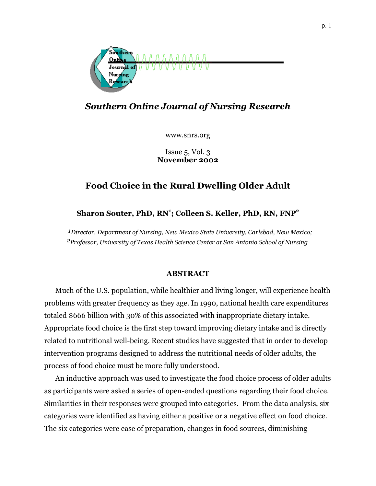

# *Southern Online Journal of Nursing Research*

www.snrs.org

Issue 5, Vol. 3 **November 2002** 

# **Food Choice in the Rural Dwelling Older Adult**

# **Sharon Souter, PhD, RN1 ; Colleen S. Keller, PhD, RN, FNP<sup>2</sup>**

*1Director, Department of Nursing, New Mexico State University, Carlsbad, New Mexico; 2Professor, University of Texas Health Science Center at San Antonio School of Nursing*

# **ABSTRACT**

Much of the U.S. population, while healthier and living longer, will experience health problems with greater frequency as they age. In 1990, national health care expenditures totaled \$666 billion with 30% of this associated with inappropriate dietary intake. Appropriate food choice is the first step toward improving dietary intake and is directly related to nutritional well-being. Recent studies have suggested that in order to develop intervention programs designed to address the nutritional needs of older adults, the process of food choice must be more fully understood.

An inductive approach was used to investigate the food choice process of older adults as participants were asked a series of open-ended questions regarding their food choice. Similarities in their responses were grouped into categories. From the data analysis, six categories were identified as having either a positive or a negative effect on food choice. The six categories were ease of preparation, changes in food sources, diminishing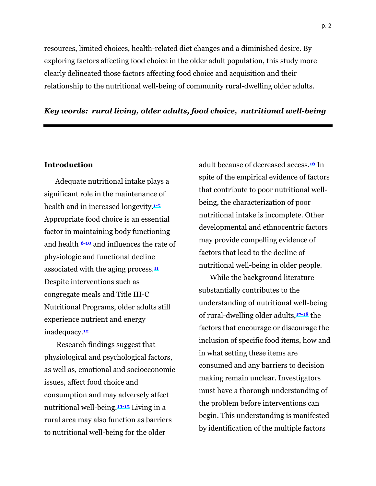resources, limited choices, health-related diet changes and a diminished desire. By exploring factors affecting food choice in the older adult population, this study more clearly delineated those factors affecting food choice and acquisition and their relationship to the nutritional well-being of community rural-dwelling older adults.

# *Key words: rural living, older adults, food choice, nutritional well-being*

## **Introduction**

Adequate nutritional intake plays a significant role in the maintenance of health and in increased longevity.**1-5** Appropriate food choice is an essential factor in maintaining body functioning and health **6-10** and influences the rate of physiologic and functional decline associated with the aging process.**<sup>11</sup>** Despite interventions such as congregate meals and Title III-C Nutritional Programs, older adults still experience nutrient and energy inadequacy.**<sup>12</sup>**

Research findings suggest that physiological and psychological factors, as well as, emotional and socioeconomic issues, affect food choice and consumption and may adversely affect nutritional well-being.**13-15** Living in a rural area may also function as barriers to nutritional well-being for the older

adult because of decreased access.**16** In spite of the empirical evidence of factors that contribute to poor nutritional wellbeing, the characterization of poor nutritional intake is incomplete. Other developmental and ethnocentric factors may provide compelling evidence of factors that lead to the decline of nutritional well-being in older people.

While the background literature substantially contributes to the understanding of nutritional well-being of rural-dwelling older adults,**17-18** the factors that encourage or discourage the inclusion of specific food items, how and in what setting these items are consumed and any barriers to decision making remain unclear. Investigators must have a thorough understanding of the problem before interventions can begin. This understanding is manifested by identification of the multiple factors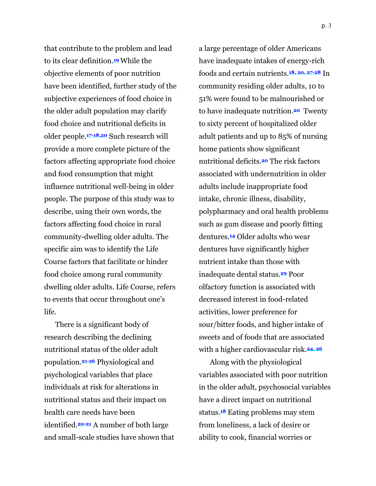that contribute to the problem and lead to its clear definition.**19** While the objective elements of poor nutrition have been identified, further study of the subjective experiences of food choice in the older adult population may clarify food choice and nutritional deficits in older people.**17-18,20** Such research will provide a more complete picture of the factors affecting appropriate food choice and food consumption that might influence nutritional well-being in older people. The purpose of this study was to describe, using their own words, the factors affecting food choice in rural community-dwelling older adults. The specific aim was to identify the Life Course factors that facilitate or hinder food choice among rural community dwelling older adults. Life Course, refers to events that occur throughout one's life.

There is a significant body of research describing the declining nutritional status of the older adult population.**21-26** Physiological and psychological variables that place individuals at risk for alterations in nutritional status and their impact on health care needs have been identified.**20-21** A number of both large and small-scale studies have shown that

a large percentage of older Americans have inadequate intakes of energy-rich foods and certain nutrients.**18, 20, 27-28** In community residing older adults, 10 to 51% were found to be malnourished or to have inadequate nutrition.**20** Twenty to sixty percent of hospitalized older adult patients and up to 85% of nursing home patients show significant nutritional deficits.**20** The risk factors associated with undernutrition in older adults include inappropriate food intake, chronic illness, disability, polypharmacy and oral health problems such as gum disease and poorly fitting dentures.**14** Older adults who wear dentures have significantly higher nutrient intake than those with inadequate dental status.**29** Poor olfactory function is associated with decreased interest in food-related activities, lower preference for sour/bitter foods, and higher intake of sweets and of foods that are associated with a higher cardiovascular risk.**24, 26**

Along with the physiological variables associated with poor nutrition in the older adult, psychosocial variables have a direct impact on nutritional status.**18** Eating problems may stem from loneliness, a lack of desire or ability to cook, financial worries or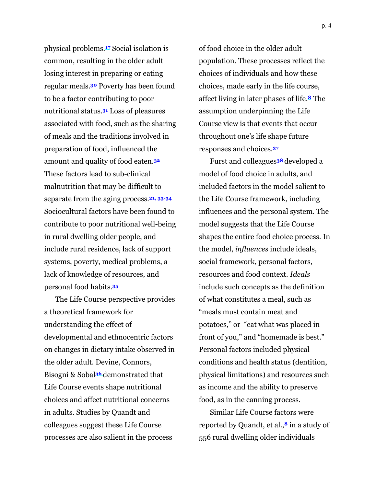physical problems.**17** Social isolation is common, resulting in the older adult losing interest in preparing or eating regular meals.**30** Poverty has been found to be a factor contributing to poor nutritional status.**31** Loss of pleasures associated with food, such as the sharing of meals and the traditions involved in preparation of food, influenced the amount and quality of food eaten.**<sup>32</sup>** These factors lead to sub-clinical malnutrition that may be difficult to separate from the aging process.**21, 33-34** Sociocultural factors have been found to contribute to poor nutritional well-being in rural dwelling older people, and include rural residence, lack of support systems, poverty, medical problems, a lack of knowledge of resources, and personal food habits.**<sup>35</sup>**

The Life Course perspective provides a theoretical framework for understanding the effect of developmental and ethnocentric factors on changes in dietary intake observed in the older adult. Devine, Connors, Bisogni & Sobal**36** demonstrated that Life Course events shape nutritional choices and affect nutritional concerns in adults. Studies by Quandt and colleagues suggest these Life Course processes are also salient in the process

of food choice in the older adult population. These processes reflect the choices of individuals and how these choices, made early in the life course, affect living in later phases of life.**8** The assumption underpinning the Life Course view is that events that occur throughout one's life shape future responses and choices.**<sup>37</sup>**

Furst and colleagues**38** developed a model of food choice in adults, and included factors in the model salient to the Life Course framework, including influences and the personal system. The model suggests that the Life Course shapes the entire food choice process. In the model, *influences* include ideals, social framework, personal factors, resources and food context. *Ideals* include such concepts as the definition of what constitutes a meal, such as "meals must contain meat and potatoes," or "eat what was placed in front of you," and "homemade is best." Personal factors included physical conditions and health status (dentition, physical limitations) and resources such as income and the ability to preserve food, as in the canning process.

Similar Life Course factors were reported by Quandt, et al.,**8** in a study of 556 rural dwelling older individuals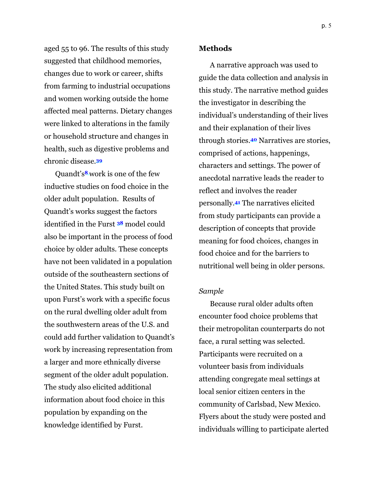aged 55 to 96. The results of this study suggested that childhood memories, changes due to work or career, shifts from farming to industrial occupations and women working outside the home affected meal patterns. Dietary changes were linked to alterations in the family or household structure and changes in health, such as digestive problems and chronic disease.**<sup>39</sup>**

Quandt's**8** work is one of the few inductive studies on food choice in the older adult population. Results of Quandt's works suggest the factors identified in the Furst **38** model could also be important in the process of food choice by older adults. These concepts have not been validated in a population outside of the southeastern sections of the United States. This study built on upon Furst's work with a specific focus on the rural dwelling older adult from the southwestern areas of the U.S. and could add further validation to Quandt's work by increasing representation from a larger and more ethnically diverse segment of the older adult population. The study also elicited additional information about food choice in this population by expanding on the knowledge identified by Furst.

#### **Methods**

A narrative approach was used to guide the data collection and analysis in this study. The narrative method guides the investigator in describing the individual's understanding of their lives and their explanation of their lives through stories.**40** Narratives are stories, comprised of actions, happenings, characters and settings. The power of anecdotal narrative leads the reader to reflect and involves the reader personally.**41** The narratives elicited from study participants can provide a description of concepts that provide meaning for food choices, changes in food choice and for the barriers to nutritional well being in older persons.

# *Sample*

Because rural older adults often encounter food choice problems that their metropolitan counterparts do not face, a rural setting was selected. Participants were recruited on a volunteer basis from individuals attending congregate meal settings at local senior citizen centers in the community of Carlsbad, New Mexico. Flyers about the study were posted and individuals willing to participate alerted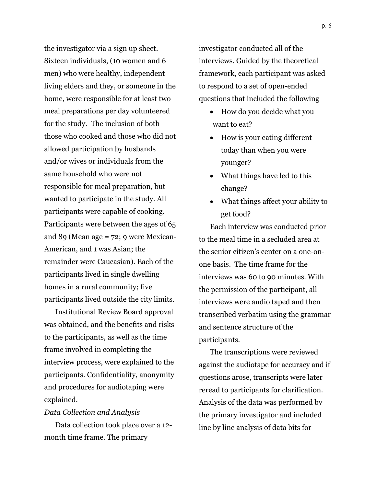the investigator via a sign up sheet. Sixteen individuals, (10 women and 6 men) who were healthy, independent living elders and they, or someone in the home, were responsible for at least two meal preparations per day volunteered for the study. The inclusion of both those who cooked and those who did not allowed participation by husbands and/or wives or individuals from the same household who were not responsible for meal preparation, but wanted to participate in the study. All participants were capable of cooking. Participants were between the ages of 65 and 89 (Mean age = 72; 9 were Mexican-American, and 1 was Asian; the remainder were Caucasian). Each of the participants lived in single dwelling homes in a rural community; five participants lived outside the city limits.

Institutional Review Board approval was obtained, and the benefits and risks to the participants, as well as the time frame involved in completing the interview process, were explained to the participants. Confidentiality, anonymity and procedures for audiotaping were explained.

# *Data Collection and Analysis*

Data collection took place over a 12 month time frame. The primary

investigator conducted all of the interviews. Guided by the theoretical framework, each participant was asked to respond to a set of open-ended questions that included the following

- How do you decide what you want to eat?
- How is your eating different today than when you were younger?
- What things have led to this change?
- What things affect your ability to get food?

Each interview was conducted prior to the meal time in a secluded area at the senior citizen's center on a one-onone basis. The time frame for the interviews was 60 to 90 minutes. With the permission of the participant, all interviews were audio taped and then transcribed verbatim using the grammar and sentence structure of the participants.

The transcriptions were reviewed against the audiotape for accuracy and if questions arose, transcripts were later reread to participants for clarification. Analysis of the data was performed by the primary investigator and included line by line analysis of data bits for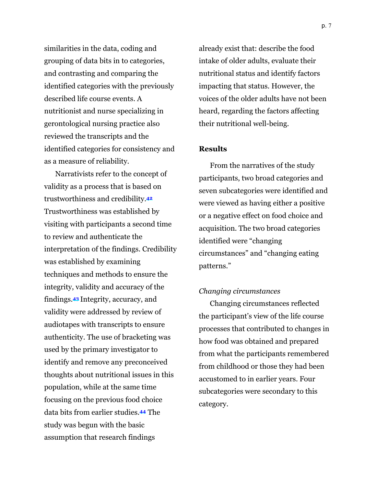similarities in the data, coding and grouping of data bits in to categories, and contrasting and comparing the identified categories with the previously described life course events. A nutritionist and nurse specializing in gerontological nursing practice also reviewed the transcripts and the identified categories for consistency and as a measure of reliability.

Narrativists refer to the concept of validity as a process that is based on trustworthiness and credibility.**<sup>42</sup>** Trustworthiness was established by visiting with participants a second time to review and authenticate the interpretation of the findings. Credibility was established by examining techniques and methods to ensure the integrity, validity and accuracy of the findings.**43** Integrity, accuracy, and validity were addressed by review of audiotapes with transcripts to ensure authenticity. The use of bracketing was used by the primary investigator to identify and remove any preconceived thoughts about nutritional issues in this population, while at the same time focusing on the previous food choice data bits from earlier studies.**44** The study was begun with the basic assumption that research findings

already exist that: describe the food intake of older adults, evaluate their nutritional status and identify factors impacting that status. However, the voices of the older adults have not been heard, regarding the factors affecting their nutritional well-being.

# **Results**

From the narratives of the study participants, two broad categories and seven subcategories were identified and were viewed as having either a positive or a negative effect on food choice and acquisition. The two broad categories identified were "changing circumstances" and "changing eating patterns*.*"

#### *Changing circumstances*

Changing circumstances reflected the participant's view of the life course processes that contributed to changes in how food was obtained and prepared from what the participants remembered from childhood or those they had been accustomed to in earlier years. Four subcategories were secondary to this category.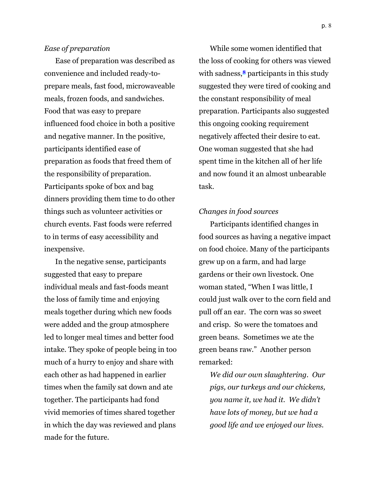# *Ease of preparation*

Ease of preparation was described as convenience and included ready-toprepare meals, fast food, microwaveable meals, frozen foods, and sandwiches. Food that was easy to prepare influenced food choice in both a positive and negative manner. In the positive, participants identified ease of preparation as foods that freed them of the responsibility of preparation. Participants spoke of box and bag dinners providing them time to do other things such as volunteer activities or church events. Fast foods were referred to in terms of easy accessibility and inexpensive.

In the negative sense, participants suggested that easy to prepare individual meals and fast-foods meant the loss of family time and enjoying meals together during which new foods were added and the group atmosphere led to longer meal times and better food intake. They spoke of people being in too much of a hurry to enjoy and share with each other as had happened in earlier times when the family sat down and ate together. The participants had fond vivid memories of times shared together in which the day was reviewed and plans made for the future.

While some women identified that the loss of cooking for others was viewed with sadness,<sup>8</sup> participants in this study suggested they were tired of cooking and the constant responsibility of meal preparation. Participants also suggested this ongoing cooking requirement negatively affected their desire to eat. One woman suggested that she had spent time in the kitchen all of her life and now found it an almost unbearable task.

#### *Changes in food sources*

Participants identified changes in food sources as having a negative impact on food choice. Many of the participants grew up on a farm, and had large gardens or their own livestock. One woman stated, "When I was little, I could just walk over to the corn field and pull off an ear. The corn was so sweet and crisp. So were the tomatoes and green beans. Sometimes we ate the green beans raw." Another person remarked:

*We did our own slaughtering. Our pigs, our turkeys and our chickens, you name it, we had it. We didn't have lots of money, but we had a good life and we enjoyed our lives.*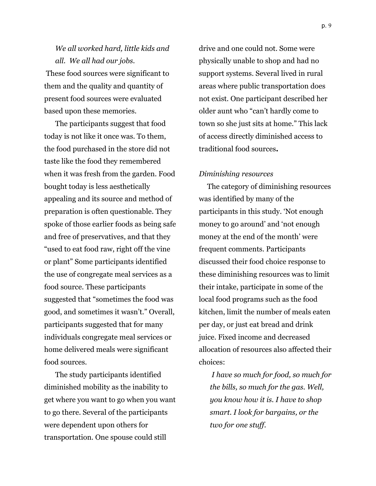*We all worked hard, little kids and all. We all had our jobs*. These food sources were significant to them and the quality and quantity of present food sources were evaluated based upon these memories.

The participants suggest that food today is not like it once was. To them, the food purchased in the store did not taste like the food they remembered when it was fresh from the garden. Food bought today is less aesthetically appealing and its source and method of preparation is often questionable. They spoke of those earlier foods as being safe and free of preservatives, and that they "used to eat food raw, right off the vine or plant" Some participants identified the use of congregate meal services as a food source. These participants suggested that "sometimes the food was good, and sometimes it wasn't." Overall, participants suggested that for many individuals congregate meal services or home delivered meals were significant food sources.

The study participants identified diminished mobility as the inability to get where you want to go when you want to go there. Several of the participants were dependent upon others for transportation. One spouse could still

drive and one could not. Some were physically unable to shop and had no support systems. Several lived in rural areas where public transportation does not exist. One participant described her older aunt who "can't hardly come to town so she just sits at home." This lack of access directly diminished access to traditional food sources**.** 

#### *Diminishing resources*

The category of diminishing resources was identified by many of the participants in this study. 'Not enough money to go around' and 'not enough money at the end of the month' were frequent comments. Participants discussed their food choice response to these diminishing resources was to limit their intake, participate in some of the local food programs such as the food kitchen, limit the number of meals eaten per day, or just eat bread and drink juice. Fixed income and decreased allocation of resources also affected their choices:

 *I have so much for food, so much for the bills, so much for the gas. Well, you know how it is. I have to shop smart. I look for bargains, or the two for one stuff.*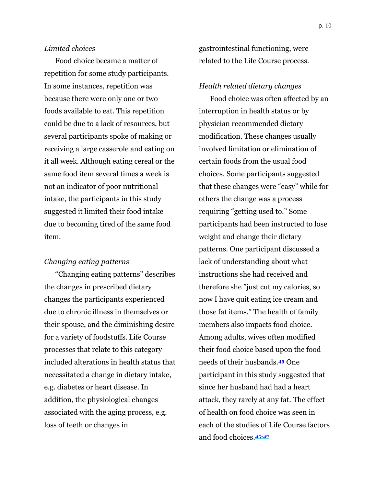# *Limited choices*

Food choice became a matter of repetition for some study participants. In some instances, repetition was because there were only one or two foods available to eat. This repetition could be due to a lack of resources, but several participants spoke of making or receiving a large casserole and eating on it all week. Although eating cereal or the same food item several times a week is not an indicator of poor nutritional intake, the participants in this study suggested it limited their food intake due to becoming tired of the same food item.

#### *Changing eating patterns*

"Changing eating patterns" describes the changes in prescribed dietary changes the participants experienced due to chronic illness in themselves or their spouse, and the diminishing desire for a variety of foodstuffs. Life Course processes that relate to this category included alterations in health status that necessitated a change in dietary intake, e.g. diabetes or heart disease. In addition, the physiological changes associated with the aging process, e.g. loss of teeth or changes in

gastrointestinal functioning, were related to the Life Course process.

#### *Health related dietary changes*

Food choice was often affected by an interruption in health status or by physician recommended dietary modification. These changes usually involved limitation or elimination of certain foods from the usual food choices. Some participants suggested that these changes were "easy" while for others the change was a process requiring "getting used to." Some participants had been instructed to lose weight and change their dietary patterns. One participant discussed a lack of understanding about what instructions she had received and therefore she "just cut my calories, so now I have quit eating ice cream and those fat items." The health of family members also impacts food choice. Among adults, wives often modified their food choice based upon the food needs of their husbands.**45** One participant in this study suggested that since her husband had had a heart attack, they rarely at any fat. The effect of health on food choice was seen in each of the studies of Life Course factors and food choices.**45-47**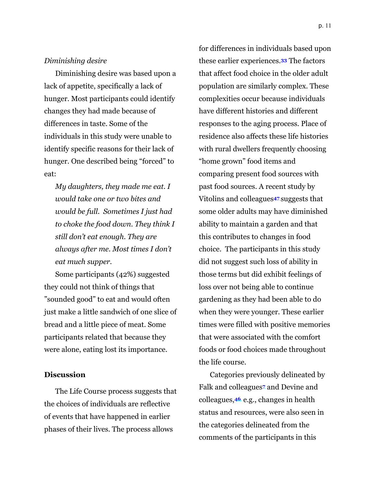Diminishing desire was based upon a lack of appetite, specifically a lack of hunger. Most participants could identify changes they had made because of differences in taste. Some of the individuals in this study were unable to identify specific reasons for their lack of hunger. One described being "forced" to eat:

*My daughters, they made me eat. I would take one or two bites and would be full. Sometimes I just had to choke the food down. They think I still don't eat enough. They are always after me. Most times I don't eat much supper.* 

Some participants (42%) suggested they could not think of things that "sounded good" to eat and would often just make a little sandwich of one slice of bread and a little piece of meat. Some participants related that because they were alone, eating lost its importance.

# **Discussion**

The Life Course process suggests that the choices of individuals are reflective of events that have happened in earlier phases of their lives. The process allows

for differences in individuals based upon these earlier experiences.**33** The factors that affect food choice in the older adult population are similarly complex. These complexities occur because individuals have different histories and different responses to the aging process. Place of residence also affects these life histories with rural dwellers frequently choosing "home grown" food items and comparing present food sources with past food sources. A recent study by Vitolins and colleagues**47** suggests that some older adults may have diminished ability to maintain a garden and that this contributes to changes in food choice. The participants in this study did not suggest such loss of ability in those terms but did exhibit feelings of loss over not being able to continue gardening as they had been able to do when they were younger. These earlier times were filled with positive memories that were associated with the comfort foods or food choices made throughout the life course.

Categories previously delineated by Falk and colleagues**<sup>7</sup>** and Devine and colleagues,**46** e.g., changes in health status and resources, were also seen in the categories delineated from the comments of the participants in this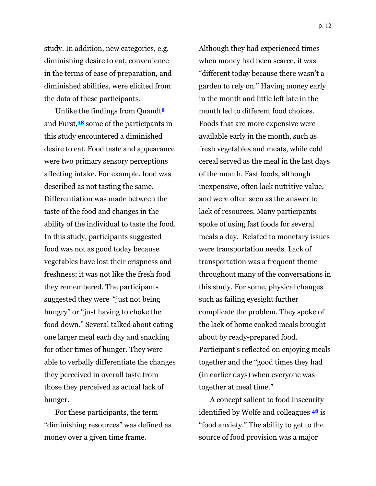study. In addition, new categories, e.g. diminishing desire to eat, convenience in the terms of ease of preparation, and diminished abilities, were elicited from the data of these participants.

Unlike the findings from Quandt**<sup>8</sup>** and Furst,**38** some of the participants in this study encountered a diminished desire to eat. Food taste and appearance were two primary sensory perceptions affecting intake. For example, food was described as not tasting the same. Differentiation was made between the taste of the food and changes in the ability of the individual to taste the food. In this study, participants suggested food was not as good today because vegetables have lost their crispness and freshness; it was not like the fresh food they remembered. The participants suggested they were "just not being hungry" or "just having to choke the food down." Several talked about eating one larger meal each day and snacking for other times of hunger. They were able to verbally differentiate the changes they perceived in overall taste from those they perceived as actual lack of hunger.

For these participants, the term "diminishing resources" was defined as money over a given time frame.

Although they had experienced times when money had been scarce, it was "different today because there wasn't a garden to rely on." Having money early in the month and little left late in the month led to different food choices. Foods that are more expensive were available early in the month, such as fresh vegetables and meats, while cold cereal served as the meal in the last days of the month. Fast foods, although inexpensive, often lack nutritive value, and were often seen as the answer to lack of resources. Many participants spoke of using fast foods for several meals a day. Related to monetary issues were transportation needs. Lack of transportation was a frequent theme throughout many of the conversations in this study. For some, physical changes such as failing eyesight further complicate the problem. They spoke of the lack of home cooked meals brought about by ready-prepared food. Participant's reflected on enjoying meals together and the "good times they had (in earlier days) when everyone was together at meal time."

A concept salient to food insecurity identified by Wolfe and colleagues **48** is "food anxiety." The ability to get to the source of food provision was a major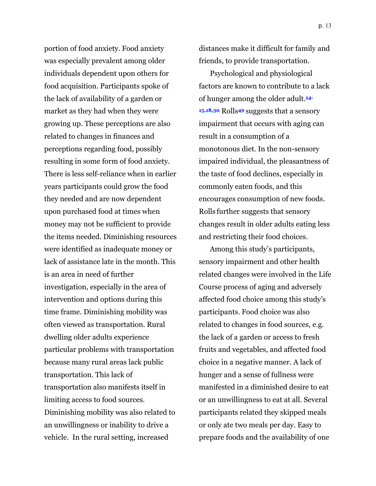portion of food anxiety. Food anxiety was especially prevalent among older individuals dependent upon others for food acquisition. Participants spoke of the lack of availability of a garden or market as they had when they were growing up. These perceptions are also related to changes in finances and perceptions regarding food, possibly resulting in some form of food anxiety. There is less self-reliance when in earlier years participants could grow the food they needed and are now dependent upon purchased food at times when money may not be sufficient to provide the items needed. Diminishing resources were identified as inadequate money or lack of assistance late in the month. This is an area in need of further investigation, especially in the area of intervention and options during this time frame. Diminishing mobility was often viewed as transportation. Rural dwelling older adults experience particular problems with transportation because many rural areas lack public transportation. This lack of transportation also manifests itself in limiting access to food sources. Diminishing mobility was also related to an unwillingness or inability to drive a vehicle. In the rural setting, increased

distances make it difficult for family and friends, to provide transportation.

Psychological and physiological factors are known to contribute to a lack of hunger among the older adult.**14- 15,18,30** Rolls**49** suggests that a sensory impairment that occurs with aging can result in a consumption of a monotonous diet. In the non-sensory impaired individual, the pleasantness of the taste of food declines, especially in commonly eaten foods, and this encourages consumption of new foods. Rolls further suggests that sensory changes result in older adults eating less and restricting their food choices.

Among this study's participants, sensory impairment and other health related changes were involved in the Life Course process of aging and adversely affected food choice among this study's participants. Food choice was also related to changes in food sources, e.g. the lack of a garden or access to fresh fruits and vegetables, and affected food choice in a negative manner. A lack of hunger and a sense of fullness were manifested in a diminished desire to eat or an unwillingness to eat at all. Several participants related they skipped meals or only ate two meals per day. Easy to prepare foods and the availability of one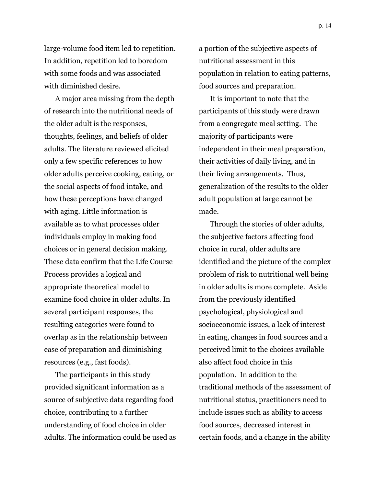large-volume food item led to repetition. In addition, repetition led to boredom with some foods and was associated with diminished desire.

A major area missing from the depth of research into the nutritional needs of the older adult is the responses, thoughts, feelings, and beliefs of older adults. The literature reviewed elicited only a few specific references to how older adults perceive cooking, eating, or the social aspects of food intake, and how these perceptions have changed with aging. Little information is available as to what processes older individuals employ in making food choices or in general decision making. These data confirm that the Life Course Process provides a logical and appropriate theoretical model to examine food choice in older adults. In several participant responses, the resulting categories were found to overlap as in the relationship between ease of preparation and diminishing resources (e.g., fast foods).

The participants in this study provided significant information as a source of subjective data regarding food choice, contributing to a further understanding of food choice in older adults. The information could be used as

a portion of the subjective aspects of nutritional assessment in this population in relation to eating patterns, food sources and preparation.

It is important to note that the participants of this study were drawn from a congregate meal setting. The majority of participants were independent in their meal preparation, their activities of daily living, and in their living arrangements. Thus, generalization of the results to the older adult population at large cannot be made.

Through the stories of older adults, the subjective factors affecting food choice in rural, older adults are identified and the picture of the complex problem of risk to nutritional well being in older adults is more complete. Aside from the previously identified psychological, physiological and socioeconomic issues, a lack of interest in eating, changes in food sources and a perceived limit to the choices available also affect food choice in this population. In addition to the traditional methods of the assessment of nutritional status, practitioners need to include issues such as ability to access food sources, decreased interest in certain foods, and a change in the ability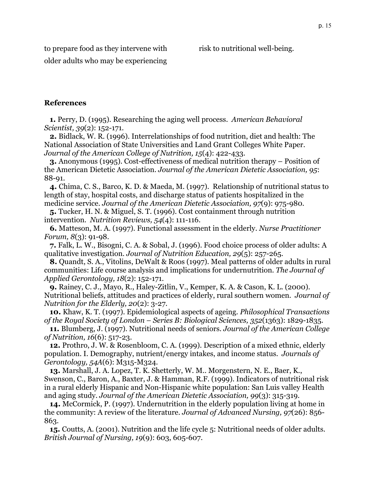risk to nutritional well-being.

to prepare food as they intervene with older adults who may be experiencing

# **References**

**1.** Perry, D. (1995). Researching the aging well process. *American Behavioral Scientist, 39*(2): 152-171.

**2.** Bidlack, W. R. (1996). Interrelationships of food nutrition, diet and health: The National Association of State Universities and Land Grant Colleges White Paper. *Journal of the American College of Nutrition, 15*(4): 422-433.

**3.** Anonymous (1995). Cost-effectiveness of medical nutrition therapy – Position of the American Dietetic Association. *Journal of the American Dietetic Association, 95*: 88-91.

**4.** Chima, C. S., Barco, K. D. & Maeda, M. (1997). Relationship of nutritional status to length of stay, hospital costs, and discharge status of patients hospitalized in the medicine service. *Journal of the American Dietetic Association, 97*(9): 975-980.

**5.** Tucker, H. N. & Miguel, S. T. (1996). Cost containment through nutrition intervention. *Nutrition Reviews, 54*(4): 111-116.

**6.** Matteson, M. A. (1997). Functional assessment in the elderly. *Nurse Practitioner Forum, 8*(3): 91-98.

**7.** Falk, L. W., Bisogni, C. A. & Sobal, J. (1996). Food choice process of older adults: A qualitative investigation. *Journal of Nutrition Education, 29*(5): 257-265.

**8.** Quandt, S. A., Vitolins, DeWalt & Roos (1997). Meal patterns of older adults in rural communities: Life course analysis and implications for undernutrition. *The Journal of Applied Gerontology, 18*(2): 152-171.

**9.** Rainey, C. J., Mayo, R., Haley-Zitlin, V., Kemper, K. A. & Cason, K. L. (2000). Nutritional beliefs, attitudes and practices of elderly, rural southern women. *Journal of Nutrition for the Elderly, 20*(2): 3-27.

**10.** Khaw, K. T. (1997). Epidemiological aspects of ageing. *Philosophical Transactions of the Royal Society of London – Series B: Biological Sciences, 352*(1363): 1829-1835.

**11.** Blumberg, J. (1997). Nutritional needs of seniors. *Journal of the American College of Nutrition, 16*(6): 517-23.

**12.** Prothro, J. W. & Rosenbloom, C. A. (1999). Description of a mixed ethnic, elderly population. I. Demography, nutrient/energy intakes, and income status. *Journals of Gerontology, 54A*(6): M315-M324*.* 

**13.** Marshall, J. A. Lopez, T. K. Shetterly, W. M.. Morgenstern, N. E., Baer, K., Swenson, C., Baron, A., Baxter, J. & Hamman, R.F. (1999). Indicators of nutritional risk in a rural elderly Hispanic and Non-Hispanic white population: San Luis valley Health and aging study. *Journal of the American Dietetic Association, 99*(3): 315-319.

**14.** McCormick, P. (1997). Undernutrition in the elderly population living at home in the community: A review of the literature. *Journal of Advanced Nursing, 97*(26): 856- 863.

**15.** Coutts, A. (2001). Nutrition and the life cycle 5: Nutritional needs of older adults. *British Journal of Nursing, 19*(9): 603, 605-607.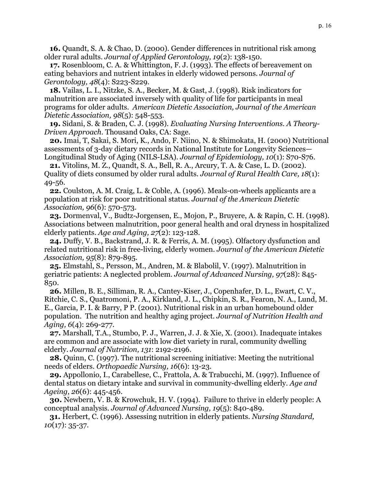**16.** Quandt, S. A. & Chao, D. (2000). Gender differences in nutritional risk among older rural adults. *Journal of Applied Gerontology, 19*(2): 138-150.

**17.** Rosenbloom, C. A. & Whittington, F. J. (1993). The effects of bereavement on eating behaviors and nutrient intakes in elderly widowed persons. *Journal of Gerontology, 48*(4): S223-S229.

**18.** Vailas, L. I., Nitzke, S. A., Becker, M. & Gast, J. (1998). Risk indicators for malnutrition are associated inversely with quality of life for participants in meal programs for older adults. *American Dietetic Association, Journal of the American Dietetic Association, 98*(5): 548-553.

**19.** Sidani, S. & Braden, C. J. (1998). *Evaluating Nursing Interventions. A Theory-Driven Approach.* Thousand Oaks, CA: Sage.

**20.** Imai, T, Sakai, S. Mori, K., Ando, F. Niino, N. & Shimokata, H. (2000) Nutritional assessments of 3-day dietary records in National Institute for Longevity Sciences— Longitudinal Study of Aging (NILS-LSA). *Journal of Epidemiology, 10*(1): S70-S76.

**21.** Vitolins, M. Z., Quandt, S. A., Bell, R. A., Arcury, T. A. & Case, L. D. (2002). Quality of diets consumed by older rural adults. *Journal of Rural Health Care, 18*(1): 49-56.

**22.** Coulston, A. M. Craig, L. & Coble, A. (1996). Meals-on-wheels applicants are a population at risk for poor nutritional status. *Journal of the American Dietetic Association, 96*(6): 570-573.

**23.** Dormenval, V., Budtz-Jorgensen, E., Mojon, P., Bruyere, A. & Rapin, C. H. (1998). Associations between malnutrition, poor general health and oral dryness in hospitalized elderly patients. *Age and Aging, 27*(2): 123-128.

**24.** Duffy, V. B., Backstrand, J. R. & Ferris, A. M. (1995). Olfactory dysfunction and related nutritional risk in free-living, elderly women. *Journal of the American Dietetic Association, 95*(8): 879-895.

**25.** Elmstahl, S., Persson, M., Andren, M. & Blabolil, V. (1997). Malnutrition in geriatric patients: A neglected problem. *Journal of Advanced Nursing, 97*(28): 845- 850.

**26.** Millen, B. E., Silliman, R. A., Cantey-Kiser, J., Copenhafer, D. L., Ewart, C. V., Ritchie, C. S., Quatromoni, P. A., Kirkland, J. L., Chipkin, S. R., Fearon, N. A., Lund, M. E., Garcia, P. I. & Barry, P P. (2001). Nutritional risk in an urban homebound older population. The nutrition and healthy aging project. *Journal of Nutrition Health and Aging, 6*(4): 269-277.

**27.** Marshall, T.A., Stumbo, P. J., Warren, J. J. & Xie, X. (2001). Inadequate intakes are common and are associate with low diet variety in rural, community dwelling elderly. *Journal of Nutrition, 131*: 2192-2196.

**28.** Quinn, C. (1997). The nutritional screening initiative: Meeting the nutritional needs of elders. *Orthopaedic Nursing, 16*(6): 13-23.

**29.** Appollonio, I., Carabellese, C., Frattola, A. & Trabucchi, M. (1997). Influence of dental status on dietary intake and survival in community-dwelling elderly. *Age and Ageing, 26*(6): 445-456.

**30.** Newbern, V. B. & Krowchuk, H. V. (1994). Failure to thrive in elderly people: A conceptual analysis. *Journal of Advanced Nursing, 19*(5): 840-489.

**31.** Herbert, C. (1996). Assessing nutrition in elderly patients. *Nursing Standard, 10*(17): 35-37.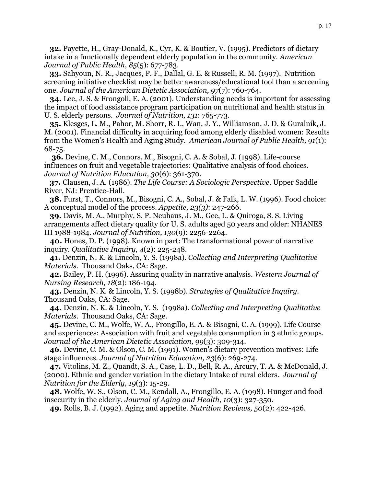**32.** Payette, H., Gray-Donald, K., Cyr, K. & Boutier, V. (1995). Predictors of dietary intake in a functionally dependent elderly population in the community. *American Journal of Public Health, 85*(5): 677-783.

**33.** Sahyoun, N. R., Jacques, P. F., Dallal, G. E. & Russell, R. M. (1997). Nutrition screening initiative checklist may be better awareness/educational tool than a screening one. *Journal of the American Dietetic Association, 97*(7): 760-764.

**34.** Lee, J. S. & Frongoli, E. A. (2001). Understanding needs is important for assessing the impact of food assistance program participation on nutritional and health status in U. S. elderly persons. *Journal of Nutrition, 131*: 765-773.

**35.** Klesges, L. M., Pahor, M. Shorr, R. I., Wan, J. Y., Williamson, J. D. & Guralnik, J. M. (2001). Financial difficulty in acquiring food among elderly disabled women: Results from the Women's Health and Aging Study. *American Journal of Public Health, 91*(1): 68-75.

 **36.** Devine, C. M., Connors, M., Bisogni, C. A. & Sobal, J. (1998). Life-course influences on fruit and vegetable trajectories: Qualitative analysis of food choices. *Journal of Nutrition Education, 30*(6): 361-370.

**37.** Clausen, J. A. (1986). *The Life Course: A Sociologic Perspective*. Upper Saddle River, NJ: Prentice-Hall.

**38.** Furst, T., Connors, M., Bisogni, C. A., Sobal, J. & Falk, L. W. (1996). Food choice: A conceptual model of the process. *Appetite, 23(3)*: 247-266.

**39.** Davis, M. A., Murphy, S. P. Neuhaus, J. M., Gee, L. & Quiroga, S. S. Living arrangements affect dietary quality for U. S. adults aged 50 years and older: NHANES III 1988-1984. *Journal of Nutrition, 130*(9): 2256-2264.

**40.** Hones, D. P. (1998). Known in part: The transformational power of narrative inquiry. *Qualitative Inquiry, 4*(2): 225-248.

**41.** Denzin, N. K. & Lincoln, Y. S. (1998a). *Collecting and Interpreting Qualitative Materials.* Thousand Oaks, CA: Sage.

**42.** Bailey, P. H. (1996). Assuring quality in narrative analysis. *Western Journal of Nursing Research, 18*(2): 186-194.

**43.** Denzin, N. K. & Lincoln, Y. S. (1998b). *Strategies of Qualitative Inquiry*. Thousand Oaks, CA: Sage.

**44.** Denzin, N. K. & Lincoln, Y. S. (1998a). *Collecting and Interpreting Qualitative Materials*. Thousand Oaks, CA: Sage.

**45.** Devine, C. M., Wolfe, W. A., Frongillo, E. A. & Bisogni, C. A. (1999). Life Course and experiences: Association with fruit and vegetable consumption in 3 ethnic groups. *Journal of the American Dietetic Association, 99*(3): 309-314.

**46.** Devine, C. M. & Olson, C. M. (1991). Women's dietary prevention motives: Life stage influences. *Journal of Nutrition Education, 23*(6): 269-274.

**47.** Vitolins, M. Z., Quandt, S. A., Case, L. D., Bell, R. A., Arcury, T. A. & McDonald, J. (2000). Ethnic and gender variation in the dietary Intake of rural elders. *Journal of Nutrition for the Elderly, 19*(3): 15-29.

**48.** Wolfe, W. S., Olson, C. M., Kendall, A., Frongillo, E. A. (1998). Hunger and food insecurity in the elderly. *Journal of Aging and Health, 10*(3): 327-350.

**49.** Rolls, B. J. (1992). Aging and appetite. *Nutrition Reviews, 50*(2): 422-426.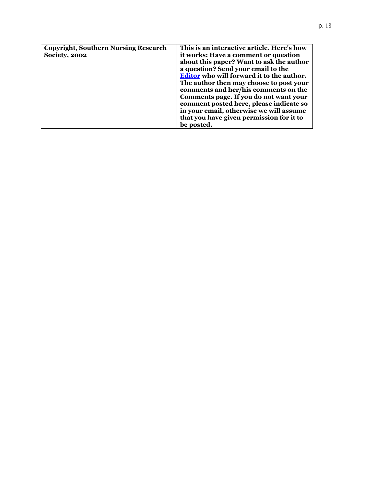| <b>Copyright, Southern Nursing Research</b> | This is an interactive article. Here's how                                        |
|---------------------------------------------|-----------------------------------------------------------------------------------|
| <b>Society, 2002</b>                        | it works: Have a comment or question                                              |
|                                             | about this paper? Want to ask the author                                          |
|                                             | a question? Send your email to the                                                |
|                                             | Editor who will forward it to the author.                                         |
|                                             | The author then may choose to post your                                           |
|                                             | comments and her/his comments on the                                              |
|                                             | Comments page. If you do not want your<br>comment posted here, please indicate so |
|                                             | in your email, otherwise we will assume                                           |
|                                             |                                                                                   |
|                                             | that you have given permission for it to                                          |
|                                             | be posted.                                                                        |